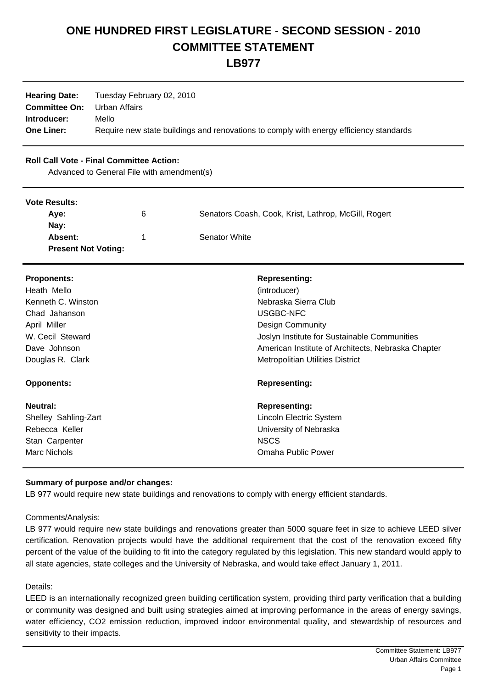# **ONE HUNDRED FIRST LEGISLATURE - SECOND SESSION - 2010 COMMITTEE STATEMENT**

**LB977**

| <b>Hearing Date:</b> | Tuesday February 02, 2010                                                              |
|----------------------|----------------------------------------------------------------------------------------|
| <b>Committee On:</b> | Urban Affairs                                                                          |
| Introducer:          | Mello                                                                                  |
| <b>One Liner:</b>    | Require new state buildings and renovations to comply with energy efficiency standards |

## **Roll Call Vote - Final Committee Action:**

Advanced to General File with amendment(s)

### **Vote Results:**

| TULU INGGUILO.             |   |                                                      |  |
|----------------------------|---|------------------------------------------------------|--|
| Ave:                       | 6 | Senators Coash, Cook, Krist, Lathrop, McGill, Rogert |  |
| Nav:                       |   |                                                      |  |
| Absent:                    |   | Senator White                                        |  |
| <b>Present Not Voting:</b> |   |                                                      |  |

| <b>Proponents:</b>   | <b>Representing:</b>                               |
|----------------------|----------------------------------------------------|
| Heath Mello          | (introducer)                                       |
| Kenneth C. Winston   | Nebraska Sierra Club                               |
| Chad Jahanson        | USGBC-NFC                                          |
| April Miller         | <b>Design Community</b>                            |
| W. Cecil Steward     | Joslyn Institute for Sustainable Communities       |
| Dave Johnson         | American Institute of Architects, Nebraska Chapter |
| Douglas R. Clark     | <b>Metropolitian Utilities District</b>            |
| <b>Opponents:</b>    | <b>Representing:</b>                               |
| Neutral:             | <b>Representing:</b>                               |
| Shelley Sahling-Zart | Lincoln Electric System                            |
| Rebecca Keller       | University of Nebraska                             |
| Stan Carpenter       | <b>NSCS</b>                                        |
| Marc Nichols         | Omaha Public Power                                 |

## **Summary of purpose and/or changes:**

LB 977 would require new state buildings and renovations to comply with energy efficient standards.

### Comments/Analysis:

LB 977 would require new state buildings and renovations greater than 5000 square feet in size to achieve LEED silver certification. Renovation projects would have the additional requirement that the cost of the renovation exceed fifty percent of the value of the building to fit into the category regulated by this legislation. This new standard would apply to all state agencies, state colleges and the University of Nebraska, and would take effect January 1, 2011.

### Details:

LEED is an internationally recognized green building certification system, providing third party verification that a building or community was designed and built using strategies aimed at improving performance in the areas of energy savings, water efficiency, CO2 emission reduction, improved indoor environmental quality, and stewardship of resources and sensitivity to their impacts.